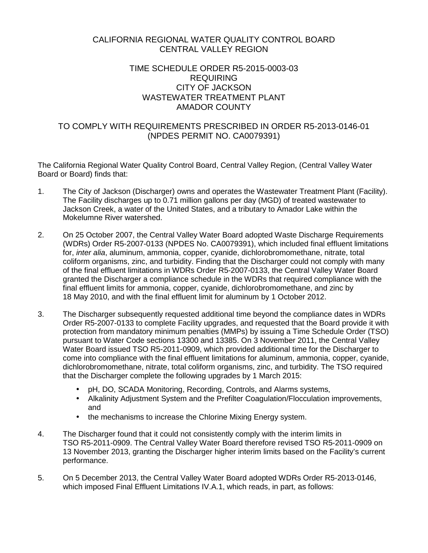# CALIFORNIA REGIONAL WATER QUALITY CONTROL BOARD CENTRAL VALLEY REGION

# TIME SCHEDULE ORDER R5-2015-0003-03 REQUIRING CITY OF JACKSON WASTEWATER TREATMENT PLANT AMADOR COUNTY

# TO COMPLY WITH REQUIREMENTS PRESCRIBED IN ORDER R5-2013-0146-01 (NPDES PERMIT NO. CA0079391)

The California Regional Water Quality Control Board, Central Valley Region, (Central Valley Water Board or Board) finds that:

- 1. The City of Jackson (Discharger) owns and operates the Wastewater Treatment Plant (Facility). The Facility discharges up to 0.71 million gallons per day (MGD) of treated wastewater to Jackson Creek, a water of the United States, and a tributary to Amador Lake within the Mokelumne River watershed.
- 2. On 25 October 2007, the Central Valley Water Board adopted Waste Discharge Requirements (WDRs) Order R5-2007-0133 (NPDES No. CA0079391), which included final effluent limitations for, *inter alia*, aluminum, ammonia, copper, cyanide, dichlorobromomethane, nitrate, total coliform organisms, zinc, and turbidity. Finding that the Discharger could not comply with many of the final effluent limitations in WDRs Order R5-2007-0133, the Central Valley Water Board granted the Discharger a compliance schedule in the WDRs that required compliance with the final effluent limits for ammonia, copper, cyanide, dichlorobromomethane, and zinc by 18 May 2010, and with the final effluent limit for aluminum by 1 October 2012.
- 3. The Discharger subsequently requested additional time beyond the compliance dates in WDRs Order R5-2007-0133 to complete Facility upgrades, and requested that the Board provide it with protection from mandatory minimum penalties (MMPs) by issuing a Time Schedule Order (TSO) pursuant to Water Code sections 13300 and 13385. On 3 November 2011, the Central Valley Water Board issued TSO R5-2011-0909, which provided additional time for the Discharger to come into compliance with the final effluent limitations for aluminum, ammonia, copper, cyanide, dichlorobromomethane, nitrate, total coliform organisms, zinc, and turbidity. The TSO required that the Discharger complete the following upgrades by 1 March 2015:
	- pH, DO, SCADA Monitoring, Recording, Controls, and Alarms systems,
	- $\mathbf{r}^{\prime}$ Alkalinity Adjustment System and the Prefilter Coagulation/Flocculation improvements, and
	- the mechanisms to increase the Chlorine Mixing Energy system.  $\mathcal{L}^{\pm}$
- 4. The Discharger found that it could not consistently comply with the interim limits in TSO R5-2011-0909. The Central Valley Water Board therefore revised TSO R5-2011-0909 on 13 November 2013, granting the Discharger higher interim limits based on the Facility's current performance.
- 5. On 5 December 2013, the Central Valley Water Board adopted WDRs Order R5-2013-0146, which imposed Final Effluent Limitations IV.A.1, which reads, in part, as follows: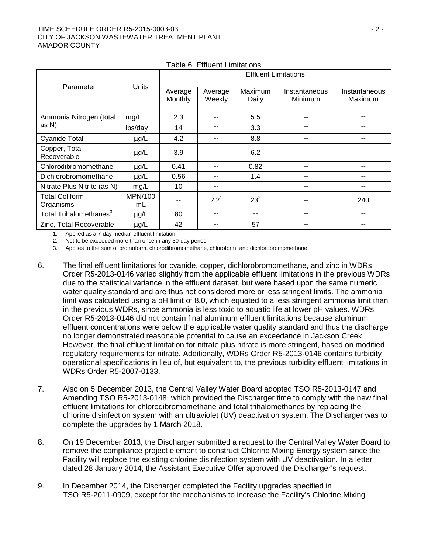#### TIME SCHEDULE ORDER R5-2015-0003-03 - 2 - CITY OF JACKSON WASTEWATER TREATMENT PLANT AMADOR COUNTY

|                                    |               | <b>Effluent Limitations</b> |                   |                  |                          |                          |
|------------------------------------|---------------|-----------------------------|-------------------|------------------|--------------------------|--------------------------|
| Parameter                          | Units         | Average<br>Monthly          | Average<br>Weekly | Maximum<br>Daily | Instantaneous<br>Minimum | Instantaneous<br>Maximum |
| Ammonia Nitrogen (total            | mg/L          | 2.3                         |                   | 5.5              | $- -$                    | --                       |
| as N)                              | lbs/day       | 14                          |                   | 3.3              |                          |                          |
| <b>Cyanide Total</b>               | $\mu$ g/L     | 4.2                         |                   | 8.8              | $- -$                    | --                       |
| Copper, Total<br>Recoverable       | $\mu$ g/L     | 3.9                         |                   | 6.2              |                          |                          |
| Chlorodibromomethane               | $\mu$ g/L     | 0.41                        |                   | 0.82             |                          |                          |
| Dichlorobromomethane               | $\mu$ g/L     | 0.56                        | --                | 1.4              | --                       | --                       |
| Nitrate Plus Nitrite (as N)        | mg/L          | 10                          |                   | --               | $-$                      | $- -$                    |
| <b>Total Coliform</b><br>Organisms | MPN/100<br>mL |                             | $2.2^1$           | $23^{2}$         |                          | 240                      |
| Total Trihalomethanes <sup>3</sup> | $\mu$ g/L     | 80                          |                   | --               |                          |                          |
| Zinc, Total Recoverable            | $\mu$ g/L     | 42                          |                   | 57               |                          |                          |

Table 6. Effluent Limitations

1. Applied as a 7-day median effluent limitation

2. Not to be exceeded more than once in any 30-day period

3. Applies to the sum of bromoform, chlorodibromomethane, chloroform, and dichlorobromomethane

- 6. The final effluent limitations for cyanide, copper, dichlorobromomethane, and zinc in WDRs Order R5-2013-0146 varied slightly from the applicable effluent limitations in the previous WDRs due to the statistical variance in the effluent dataset, but were based upon the same numeric water quality standard and are thus not considered more or less stringent limits. The ammonia limit was calculated using a pH limit of 8.0, which equated to a less stringent ammonia limit than in the previous WDRs, since ammonia is less toxic to aquatic life at lower pH values. WDRs Order R5-2013-0146 did not contain final aluminum effluent limitations because aluminum effluent concentrations were below the applicable water quality standard and thus the discharge no longer demonstrated reasonable potential to cause an exceedance in Jackson Creek. However, the final effluent limitation for nitrate plus nitrate is more stringent, based on modified regulatory requirements for nitrate. Additionally, WDRs Order R5-2013-0146 contains turbidity operational specifications in lieu of, but equivalent to, the previous turbidity effluent limitations in WDRs Order R5-2007-0133.
- 7. Also on 5 December 2013, the Central Valley Water Board adopted TSO R5-2013-0147 and Amending TSO R5-2013-0148, which provided the Discharger time to comply with the new final effluent limitations for chlorodibromomethane and total trihalomethanes by replacing the chlorine disinfection system with an ultraviolet (UV) deactivation system. The Discharger was to complete the upgrades by 1 March 2018.
- 8. On 19 December 2013, the Discharger submitted a request to the Central Valley Water Board to remove the compliance project element to construct Chlorine Mixing Energy system since the Facility will replace the existing chlorine disinfection system with UV deactivation. In a letter dated 28 January 2014, the Assistant Executive Offer approved the Discharger's request.
- 9. In December 2014, the Discharger completed the Facility upgrades specified in TSO R5-2011-0909, except for the mechanisms to increase the Facility's Chlorine Mixing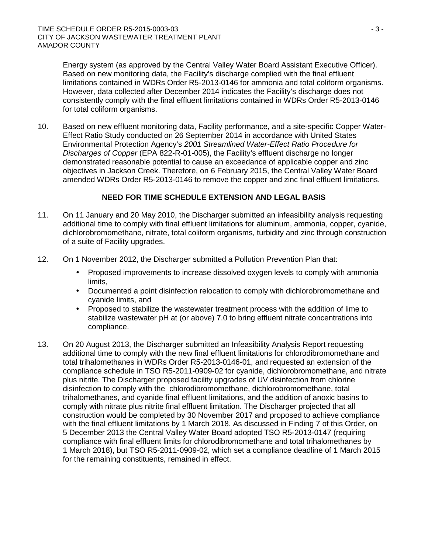Energy system (as approved by the Central Valley Water Board Assistant Executive Officer). Based on new monitoring data, the Facility's discharge complied with the final effluent limitations contained in WDRs Order R5-2013-0146 for ammonia and total coliform organisms. However, data collected after December 2014 indicates the Facility's discharge does not consistently comply with the final effluent limitations contained in WDRs Order R5-2013-0146 for total coliform organisms.

10. Based on new effluent monitoring data, Facility performance, and a site-specific Copper Water-Effect Ratio Study conducted on 26 September 2014 in accordance with United States Environmental Protection Agency's *2001 Streamlined Water-Effect Ratio Procedure for Discharges of Copper* (EPA 822-R-01-005), the Facility's effluent discharge no longer demonstrated reasonable potential to cause an exceedance of applicable copper and zinc objectives in Jackson Creek. Therefore, on 6 February 2015, the Central Valley Water Board amended WDRs Order R5-2013-0146 to remove the copper and zinc final effluent limitations.

## **NEED FOR TIME SCHEDULE EXTENSION AND LEGAL BASIS**

- 11. On 11 January and 20 May 2010, the Discharger submitted an infeasibility analysis requesting additional time to comply with final effluent limitations for aluminum, ammonia, copper, cyanide, dichlorobromomethane, nitrate, total coliform organisms, turbidity and zinc through construction of a suite of Facility upgrades.
- 12. On 1 November 2012, the Discharger submitted a Pollution Prevention Plan that:
	- $\mathbf{r}^{\prime}$ Proposed improvements to increase dissolved oxygen levels to comply with ammonia limits,
	- $\mathbf{r} = \mathbf{r}$ Documented a point disinfection relocation to comply with dichlorobromomethane and cyanide limits, and
	- Proposed to stabilize the wastewater treatment process with the addition of lime to  $\mathbf{r}$  . stabilize wastewater pH at (or above) 7.0 to bring effluent nitrate concentrations into compliance.
- 13. On 20 August 2013, the Discharger submitted an Infeasibility Analysis Report requesting additional time to comply with the new final effluent limitations for chlorodibromomethane and total trihalomethanes in WDRs Order R5-2013-0146-01, and requested an extension of the compliance schedule in TSO R5-2011-0909-02 for cyanide, dichlorobromomethane, and nitrate plus nitrite. The Discharger proposed facility upgrades of UV disinfection from chlorine disinfection to comply with the chlorodibromomethane, dichlorobromomethane, total trihalomethanes, and cyanide final effluent limitations, and the addition of anoxic basins to comply with nitrate plus nitrite final effluent limitation. The Discharger projected that all construction would be completed by 30 November 2017 and proposed to achieve compliance with the final effluent limitations by 1 March 2018. As discussed in Finding 7 of this Order, on 5 December 2013 the Central Valley Water Board adopted TSO R5-2013-0147 (requiring compliance with final effluent limits for chlorodibromomethane and total trihalomethanes by 1 March 2018), but TSO R5-2011-0909-02, which set a compliance deadline of 1 March 2015 for the remaining constituents, remained in effect.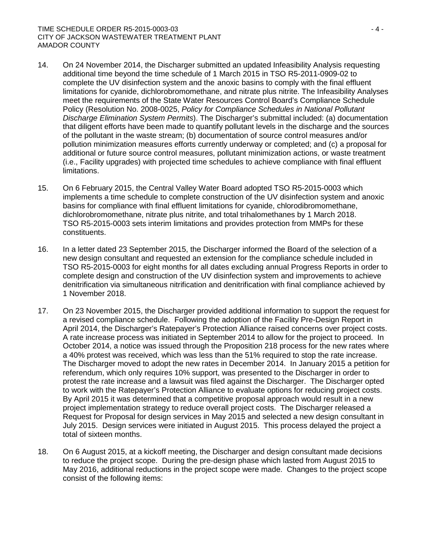#### TIME SCHEDULE ORDER R5-2015-0003-03 - 4 - CITY OF JACKSON WASTEWATER TREATMENT PLANT AMADOR COUNTY

- 14. On 24 November 2014, the Discharger submitted an updated Infeasibility Analysis requesting additional time beyond the time schedule of 1 March 2015 in TSO R5-2011-0909-02 to complete the UV disinfection system and the anoxic basins to comply with the final effluent limitations for cyanide, dichlorobromomethane, and nitrate plus nitrite. The Infeasibility Analyses meet the requirements of the State Water Resources Control Board's Compliance Schedule Policy (Resolution No. 2008-0025, *Policy for Compliance Schedules in National Pollutant Discharge Elimination System Permits*). The Discharger's submittal included: (a) documentation that diligent efforts have been made to quantify pollutant levels in the discharge and the sources of the pollutant in the waste stream; (b) documentation of source control measures and/or pollution minimization measures efforts currently underway or completed; and (c) a proposal for additional or future source control measures, pollutant minimization actions, or waste treatment (i.e., Facility upgrades) with projected time schedules to achieve compliance with final effluent limitations.
- 15. On 6 February 2015, the Central Valley Water Board adopted TSO R5-2015-0003 which implements a time schedule to complete construction of the UV disinfection system and anoxic basins for compliance with final effluent limitations for cyanide, chlorodibromomethane, dichlorobromomethane, nitrate plus nitrite, and total trihalomethanes by 1 March 2018. TSO R5-2015-0003 sets interim limitations and provides protection from MMPs for these constituents.
- 16. In a letter dated 23 September 2015, the Discharger informed the Board of the selection of a new design consultant and requested an extension for the compliance schedule included in TSO R5-2015-0003 for eight months for all dates excluding annual Progress Reports in order to complete design and construction of the UV disinfection system and improvements to achieve denitrification via simultaneous nitrification and denitrification with final compliance achieved by 1 November 2018.
- 17. On 23 November 2015, the Discharger provided additional information to support the request for a revised compliance schedule. Following the adoption of the Facility Pre-Design Report in April 2014, the Discharger's Ratepayer's Protection Alliance raised concerns over project costs. A rate increase process was initiated in September 2014 to allow for the project to proceed. In October 2014, a notice was issued through the Proposition 218 process for the new rates where a 40% protest was received, which was less than the 51% required to stop the rate increase. The Discharger moved to adopt the new rates in December 2014. In January 2015 a petition for referendum, which only requires 10% support, was presented to the Discharger in order to protest the rate increase and a lawsuit was filed against the Discharger. The Discharger opted to work with the Ratepayer's Protection Alliance to evaluate options for reducing project costs. By April 2015 it was determined that a competitive proposal approach would result in a new project implementation strategy to reduce overall project costs. The Discharger released a Request for Proposal for design services in May 2015 and selected a new design consultant in July 2015. Design services were initiated in August 2015. This process delayed the project a total of sixteen months.
- 18. On 6 August 2015, at a kickoff meeting, the Discharger and design consultant made decisions to reduce the project scope. During the pre-design phase which lasted from August 2015 to May 2016, additional reductions in the project scope were made. Changes to the project scope consist of the following items: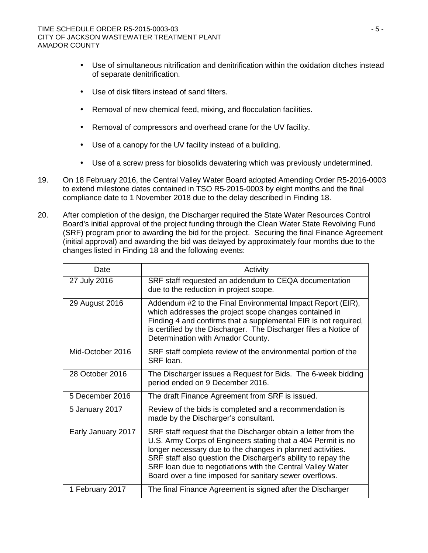- Use of simultaneous nitrification and denitrification within the oxidation ditches instead of separate denitrification.
- Use of disk filters instead of sand filters.  $\mathbf{r}$
- Removal of new chemical feed, mixing, and flocculation facilities.  $\sim$
- Removal of compressors and overhead crane for the UV facility.  $\mathbf{r}$  .
- Use of a canopy for the UV facility instead of a building.  $\mathcal{L}_{\mathrm{max}}$
- $\mathcal{L}^{\pm}$ Use of a screw press for biosolids dewatering which was previously undetermined.
- 19. On 18 February 2016, the Central Valley Water Board adopted Amending Order R5-2016-0003 to extend milestone dates contained in TSO R5-2015-0003 by eight months and the final compliance date to 1 November 2018 due to the delay described in Finding 18.
- 20. After completion of the design, the Discharger required the State Water Resources Control Board's initial approval of the project funding through the Clean Water State Revolving Fund (SRF) program prior to awarding the bid for the project. Securing the final Finance Agreement (initial approval) and awarding the bid was delayed by approximately four months due to the changes listed in Finding 18 and the following events:

| Date               | Activity                                                                                                                                                                                                                                                                                                                                                                               |  |  |  |
|--------------------|----------------------------------------------------------------------------------------------------------------------------------------------------------------------------------------------------------------------------------------------------------------------------------------------------------------------------------------------------------------------------------------|--|--|--|
| 27 July 2016       | SRF staff requested an addendum to CEQA documentation<br>due to the reduction in project scope.                                                                                                                                                                                                                                                                                        |  |  |  |
| 29 August 2016     | Addendum #2 to the Final Environmental Impact Report (EIR),<br>which addresses the project scope changes contained in<br>Finding 4 and confirms that a supplemental EIR is not required,<br>is certified by the Discharger. The Discharger files a Notice of<br>Determination with Amador County.                                                                                      |  |  |  |
| Mid-October 2016   | SRF staff complete review of the environmental portion of the<br>SRF loan.                                                                                                                                                                                                                                                                                                             |  |  |  |
| 28 October 2016    | The Discharger issues a Request for Bids. The 6-week bidding<br>period ended on 9 December 2016.                                                                                                                                                                                                                                                                                       |  |  |  |
| 5 December 2016    | The draft Finance Agreement from SRF is issued.                                                                                                                                                                                                                                                                                                                                        |  |  |  |
| 5 January 2017     | Review of the bids is completed and a recommendation is<br>made by the Discharger's consultant.                                                                                                                                                                                                                                                                                        |  |  |  |
| Early January 2017 | SRF staff request that the Discharger obtain a letter from the<br>U.S. Army Corps of Engineers stating that a 404 Permit is no<br>longer necessary due to the changes in planned activities.<br>SRF staff also question the Discharger's ability to repay the<br>SRF loan due to negotiations with the Central Valley Water<br>Board over a fine imposed for sanitary sewer overflows. |  |  |  |
| 1 February 2017    | The final Finance Agreement is signed after the Discharger                                                                                                                                                                                                                                                                                                                             |  |  |  |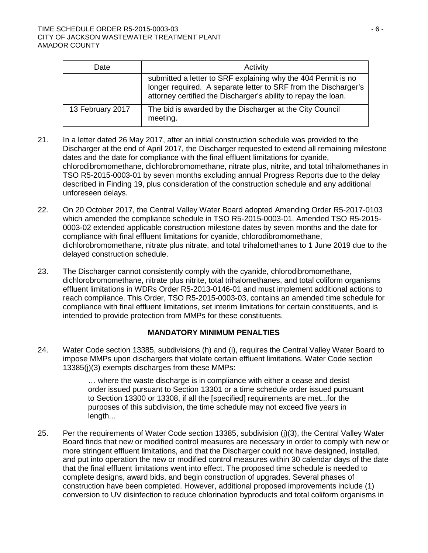| Date             | Activity                                                                                                                                                                                           |
|------------------|----------------------------------------------------------------------------------------------------------------------------------------------------------------------------------------------------|
|                  | submitted a letter to SRF explaining why the 404 Permit is no<br>longer required. A separate letter to SRF from the Discharger's<br>attorney certified the Discharger's ability to repay the loan. |
| 13 February 2017 | The bid is awarded by the Discharger at the City Council<br>meeting.                                                                                                                               |

- 21. In a letter dated 26 May 2017, after an initial construction schedule was provided to the Discharger at the end of April 2017, the Discharger requested to extend all remaining milestone dates and the date for compliance with the final effluent limitations for cyanide, chlorodibromomethane, dichlorobromomethane, nitrate plus, nitrite, and total trihalomethanes in TSO R5-2015-0003-01 by seven months excluding annual Progress Reports due to the delay described in Finding 19, plus consideration of the construction schedule and any additional unforeseen delays.
- 22. On 20 October 2017, the Central Valley Water Board adopted Amending Order R5-2017-0103 which amended the compliance schedule in TSO R5-2015-0003-01. Amended TSO R5-2015- 0003-02 extended applicable construction milestone dates by seven months and the date for compliance with final effluent limitations for cyanide, chlorodibromomethane, dichlorobromomethane, nitrate plus nitrate, and total trihalomethanes to 1 June 2019 due to the delayed construction schedule.
- 23. The Discharger cannot consistently comply with the cyanide, chlorodibromomethane, dichlorobromomethane, nitrate plus nitrite, total trihalomethanes, and total coliform organisms effluent limitations in WDRs Order R5-2013-0146-01 and must implement additional actions to reach compliance. This Order, TSO R5-2015-0003-03, contains an amended time schedule for compliance with final effluent limitations, set interim limitations for certain constituents, and is intended to provide protection from MMPs for these constituents.

## **MANDATORY MINIMUM PENALTIES**

24. Water Code section 13385, subdivisions (h) and (i), requires the Central Valley Water Board to impose MMPs upon dischargers that violate certain effluent limitations. Water Code section 13385(j)(3) exempts discharges from these MMPs:

> … where the waste discharge is in compliance with either a cease and desist order issued pursuant to Section 13301 or a time schedule order issued pursuant to Section 13300 or 13308, if all the [specified] requirements are met...for the purposes of this subdivision, the time schedule may not exceed five years in length...

25. Per the requirements of Water Code section 13385, subdivision (j)(3), the Central Valley Water Board finds that new or modified control measures are necessary in order to comply with new or more stringent effluent limitations, and that the Discharger could not have designed, installed, and put into operation the new or modified control measures within 30 calendar days of the date that the final effluent limitations went into effect. The proposed time schedule is needed to complete designs, award bids, and begin construction of upgrades. Several phases of construction have been completed. However, additional proposed improvements include (1) conversion to UV disinfection to reduce chlorination byproducts and total coliform organisms in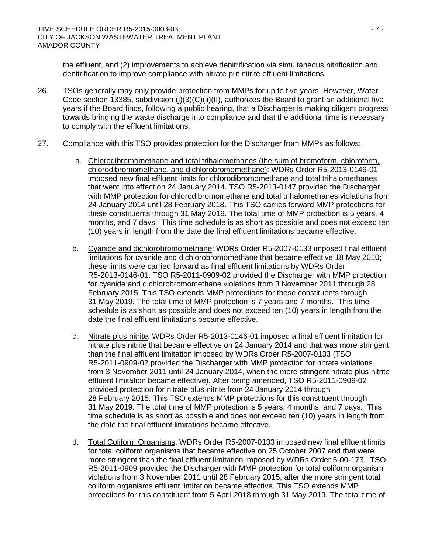the effluent, and (2) improvements to achieve denitrification via simultaneous nitrification and denitrification to improve compliance with nitrate put nitrite effluent limitations.

- 26. TSOs generally may only provide protection from MMPs for up to five years. However, Water Code section 13385, subdivision (j)(3)(C)(ii)(II), authorizes the Board to grant an additional five years if the Board finds, following a public hearing, that a Discharger is making diligent progress towards bringing the waste discharge into compliance and that the additional time is necessary to comply with the effluent limitations.
- 27. Compliance with this TSO provides protection for the Discharger from MMPs as follows:
	- a. Chlorodibromomethane and total trihalomethanes (the sum of bromoform, chloroform, chlorodibromomethane, and dichlorobromomethane): WDRs Order R5-2013-0146-01 imposed new final effluent limits for chlorodibromomethane and total trihalomethanes that went into effect on 24 January 2014. TSO R5-2013-0147 provided the Discharger with MMP protection for chlorodibromomethane and total trihalomethanes violations from 24 January 2014 until 28 February 2018. This TSO carries forward MMP protections for these constituents through 31 May 2019. The total time of MMP protection is 5 years, 4 months, and 7 days. This time schedule is as short as possible and does not exceed ten (10) years in length from the date the final effluent limitations became effective.
	- b. Cyanide and dichlorobromomethane: WDRs Order R5-2007-0133 imposed final effluent limitations for cyanide and dichlorobromomethane that became effective 18 May 2010; these limits were carried forward as final effluent limitations by WDRs Order R5-2013-0146-01. TSO R5-2011-0909-02 provided the Discharger with MMP protection for cyanide and dichlorobromomethane violations from 3 November 2011 through 28 February 2015. This TSO extends MMP protections for these constituents through 31 May 2019. The total time of MMP protection is 7 years and 7 months. This time schedule is as short as possible and does not exceed ten (10) years in length from the date the final effluent limitations became effective.
	- c. Nitrate plus nitrite: WDRs Order R5-2013-0146-01 imposed a final effluent limitation for nitrate plus nitrite that became effective on 24 January 2014 and that was more stringent than the final effluent limitation imposed by WDRs Order R5-2007-0133 (TSO R5-2011-0909-02 provided the Discharger with MMP protection for nitrate violations from 3 November 2011 until 24 January 2014, when the more stringent nitrate plus nitrite effluent limitation became effective). After being amended, TSO R5-2011-0909-02 provided protection for nitrate plus nitrite from 24 January 2014 through 28 February 2015. This TSO extends MMP protections for this constituent through 31 May 2019. The total time of MMP protection is 5 years, 4 months, and 7 days. This time schedule is as short as possible and does not exceed ten (10) years in length from the date the final effluent limitations became effective.
	- d. Total Coliform Organisms: WDRs Order R5-2007-0133 imposed new final effluent limits for total coliform organisms that became effective on 25 October 2007 and that were more stringent than the final effluent limitation imposed by WDRs Order 5-00-173. TSO R5-2011-0909 provided the Discharger with MMP protection for total coliform organism violations from 3 November 2011 until 28 February 2015, after the more stringent total coliform organisms effluent limitation became effective. This TSO extends MMP protections for this constituent from 5 April 2018 through 31 May 2019. The total time of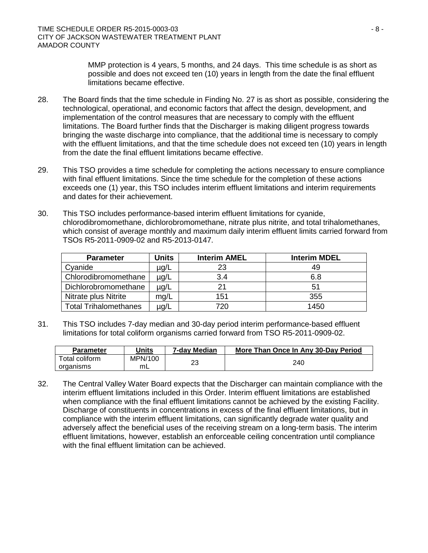MMP protection is 4 years, 5 months, and 24 days. This time schedule is as short as possible and does not exceed ten (10) years in length from the date the final effluent limitations became effective.

- 28. The Board finds that the time schedule in Finding No. 27 is as short as possible, considering the technological, operational, and economic factors that affect the design, development, and implementation of the control measures that are necessary to comply with the effluent limitations. The Board further finds that the Discharger is making diligent progress towards bringing the waste discharge into compliance, that the additional time is necessary to comply with the effluent limitations, and that the time schedule does not exceed ten (10) years in length from the date the final effluent limitations became effective.
- 29. This TSO provides a time schedule for completing the actions necessary to ensure compliance with final effluent limitations. Since the time schedule for the completion of these actions exceeds one (1) year, this TSO includes interim effluent limitations and interim requirements and dates for their achievement.
- 30. This TSO includes performance-based interim effluent limitations for cyanide, chlorodibromomethane, dichlorobromomethane, nitrate plus nitrite, and total trihalomethanes, which consist of average monthly and maximum daily interim effluent limits carried forward from TSOs R5-2011-0909-02 and R5-2013-0147.

| <b>Parameter</b>             | Units     | <b>Interim AMEL</b> | <b>Interim MDEL</b> |
|------------------------------|-----------|---------------------|---------------------|
| Cyanide                      | $\mu$ g/L | 23                  | 49                  |
| Chlorodibromomethane         | $\mu$ g/L | 3.4                 | 6.8                 |
| Dichlorobromomethane         | µg/L      | 21                  | 51                  |
| Nitrate plus Nitrite         | mg/L      | 151                 | 355                 |
| <b>Total Trihalomethanes</b> | ug/L      | 720                 | 1450                |

31. This TSO includes 7-day median and 30-day period interim performance-based effluent limitations for total coliform organisms carried forward from TSO R5-2011-0909-02.

| <b>Parameter</b> | Units   | 7-day Median | More Than Once In Any 30-Day Period |  |
|------------------|---------|--------------|-------------------------------------|--|
| Total coliform   | MPN/100 | ົດລ          | 240                                 |  |
| organisms        | mL      |              |                                     |  |

32. The Central Valley Water Board expects that the Discharger can maintain compliance with the interim effluent limitations included in this Order. Interim effluent limitations are established when compliance with the final effluent limitations cannot be achieved by the existing Facility. Discharge of constituents in concentrations in excess of the final effluent limitations, but in compliance with the interim effluent limitations, can significantly degrade water quality and adversely affect the beneficial uses of the receiving stream on a long-term basis. The interim effluent limitations, however, establish an enforceable ceiling concentration until compliance with the final effluent limitation can be achieved.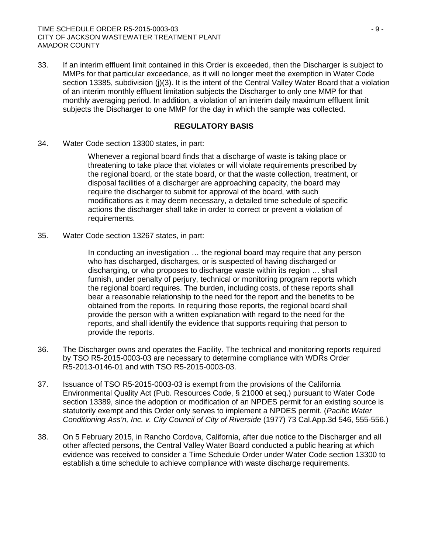33. If an interim effluent limit contained in this Order is exceeded, then the Discharger is subject to MMPs for that particular exceedance, as it will no longer meet the exemption in Water Code section 13385, subdivision (j)(3). It is the intent of the Central Valley Water Board that a violation of an interim monthly effluent limitation subjects the Discharger to only one MMP for that monthly averaging period. In addition, a violation of an interim daily maximum effluent limit subjects the Discharger to one MMP for the day in which the sample was collected.

## **REGULATORY BASIS**

34. Water Code section 13300 states, in part:

Whenever a regional board finds that a discharge of waste is taking place or threatening to take place that violates or will violate requirements prescribed by the regional board, or the state board, or that the waste collection, treatment, or disposal facilities of a discharger are approaching capacity, the board may require the discharger to submit for approval of the board, with such modifications as it may deem necessary, a detailed time schedule of specific actions the discharger shall take in order to correct or prevent a violation of requirements.

35. Water Code section 13267 states, in part:

In conducting an investigation … the regional board may require that any person who has discharged, discharges, or is suspected of having discharged or discharging, or who proposes to discharge waste within its region … shall furnish, under penalty of perjury, technical or monitoring program reports which the regional board requires. The burden, including costs, of these reports shall bear a reasonable relationship to the need for the report and the benefits to be obtained from the reports. In requiring those reports, the regional board shall provide the person with a written explanation with regard to the need for the reports, and shall identify the evidence that supports requiring that person to provide the reports.

- 36. The Discharger owns and operates the Facility. The technical and monitoring reports required by TSO R5-2015-0003-03 are necessary to determine compliance with WDRs Order R5-2013-0146-01 and with TSO R5-2015-0003-03.
- 37. Issuance of TSO R5-2015-0003-03 is exempt from the provisions of the California Environmental Quality Act (Pub. Resources Code, § 21000 et seq.) pursuant to Water Code section 13389, since the adoption or modification of an NPDES permit for an existing source is statutorily exempt and this Order only serves to implement a NPDES permit. (*Pacific Water Conditioning Ass'n, Inc. v. City Council of City of Riverside* (1977) 73 Cal.App.3d 546, 555-556.)
- 38. On 5 February 2015, in Rancho Cordova, California, after due notice to the Discharger and all other affected persons, the Central Valley Water Board conducted a public hearing at which evidence was received to consider a Time Schedule Order under Water Code section 13300 to establish a time schedule to achieve compliance with waste discharge requirements.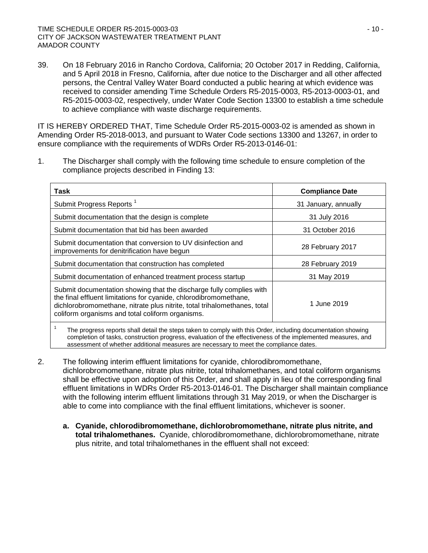39. On 18 February 2016 in Rancho Cordova, California; 20 October 2017 in Redding, California, and 5 April 2018 in Fresno, California, after due notice to the Discharger and all other affected persons, the Central Valley Water Board conducted a public hearing at which evidence was received to consider amending Time Schedule Orders R5-2015-0003, R5-2013-0003-01, and R5-2015-0003-02, respectively, under Water Code Section 13300 to establish a time schedule to achieve compliance with waste discharge requirements.

IT IS HEREBY ORDERED THAT, Time Schedule Order R5-2015-0003-02 is amended as shown in Amending Order R5-2018-0013, and pursuant to Water Code sections 13300 and 13267, in order to ensure compliance with the requirements of WDRs Order R5-2013-0146-01:

1. The Discharger shall comply with the following time schedule to ensure completion of the compliance projects described in Finding 13:

| Task                                                                                                                                                                                                                                                                     | <b>Compliance Date</b> |
|--------------------------------------------------------------------------------------------------------------------------------------------------------------------------------------------------------------------------------------------------------------------------|------------------------|
| Submit Progress Reports <sup>1</sup>                                                                                                                                                                                                                                     | 31 January, annually   |
| Submit documentation that the design is complete                                                                                                                                                                                                                         | 31 July 2016           |
| Submit documentation that bid has been awarded                                                                                                                                                                                                                           | 31 October 2016        |
| Submit documentation that conversion to UV disinfection and<br>improvements for denitrification have begun                                                                                                                                                               | 28 February 2017       |
| Submit documentation that construction has completed                                                                                                                                                                                                                     | 28 February 2019       |
| Submit documentation of enhanced treatment process startup                                                                                                                                                                                                               | 31 May 2019            |
| Submit documentation showing that the discharge fully complies with<br>the final effluent limitations for cyanide, chlorodibromomethane,<br>dichlorobromomethane, nitrate plus nitrite, total trihalomethanes, total<br>coliform organisms and total coliform organisms. | 1 June 2019            |
| The pregress reports shall detail the stape taken to comply with this Order, including decumentation showing                                                                                                                                                             |                        |

<sup>1</sup> The progress reports shall detail the steps taken to comply with this Order, including documentation showing completion of tasks, construction progress, evaluation of the effectiveness of the implemented measures, and assessment of whether additional measures are necessary to meet the compliance dates.

- 2. The following interim effluent limitations for cyanide, chlorodibromomethane, dichlorobromomethane, nitrate plus nitrite, total trihalomethanes, and total coliform organisms shall be effective upon adoption of this Order, and shall apply in lieu of the corresponding final effluent limitations in WDRs Order R5-2013-0146-01. The Discharger shall maintain compliance with the following interim effluent limitations through 31 May 2019, or when the Discharger is able to come into compliance with the final effluent limitations, whichever is sooner.
	- **a. Cyanide, chlorodibromomethane, dichlorobromomethane, nitrate plus nitrite, and total trihalomethanes.** Cyanide, chlorodibromomethane, dichlorobromomethane, nitrate plus nitrite, and total trihalomethanes in the effluent shall not exceed: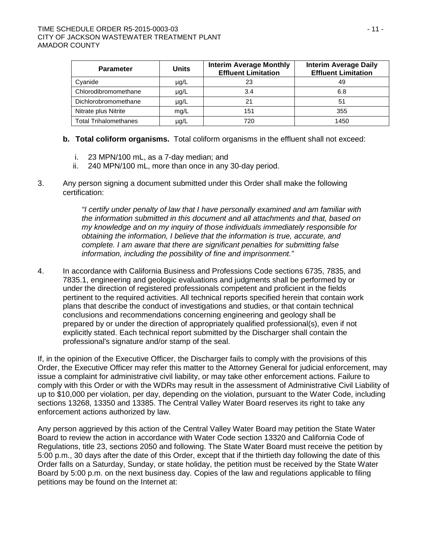| <b>Parameter</b>             | <b>Units</b> | <b>Interim Average Monthly</b><br><b>Effluent Limitation</b> | <b>Interim Average Daily</b><br><b>Effluent Limitation</b> |  |
|------------------------------|--------------|--------------------------------------------------------------|------------------------------------------------------------|--|
| Cyanide                      | $\mu$ g/L    | 23                                                           | 49                                                         |  |
| Chlorodibromomethane         | $\mu$ g/L    | 3.4                                                          | 6.8                                                        |  |
| Dichlorobromomethane         | µg/L         |                                                              | 51                                                         |  |
| Nitrate plus Nitrite         | mg/L         | 151                                                          | 355                                                        |  |
| <b>Total Trihalomethanes</b> | µg/L         | 720                                                          | 1450                                                       |  |

- **b. Total coliform organisms.** Total coliform organisms in the effluent shall not exceed:
	- i. 23 MPN/100 mL, as a 7-day median; and
	- ii. 240 MPN/100 mL, more than once in any 30-day period.
- 3. Any person signing a document submitted under this Order shall make the following certification:

*"I certify under penalty of law that I have personally examined and am familiar with the information submitted in this document and all attachments and that, based on my knowledge and on my inquiry of those individuals immediately responsible for obtaining the information, I believe that the information is true, accurate, and complete. I am aware that there are significant penalties for submitting false information, including the possibility of fine and imprisonment."*

4. In accordance with California Business and Professions Code sections 6735, 7835, and 7835.1, engineering and geologic evaluations and judgments shall be performed by or under the direction of registered professionals competent and proficient in the fields pertinent to the required activities. All technical reports specified herein that contain work plans that describe the conduct of investigations and studies, or that contain technical conclusions and recommendations concerning engineering and geology shall be prepared by or under the direction of appropriately qualified professional(s), even if not explicitly stated. Each technical report submitted by the Discharger shall contain the professional's signature and/or stamp of the seal.

If, in the opinion of the Executive Officer, the Discharger fails to comply with the provisions of this Order, the Executive Officer may refer this matter to the Attorney General for judicial enforcement, may issue a complaint for administrative civil liability, or may take other enforcement actions. Failure to comply with this Order or with the WDRs may result in the assessment of Administrative Civil Liability of up to \$10,000 per violation, per day, depending on the violation, pursuant to the Water Code, including sections 13268, 13350 and 13385. The Central Valley Water Board reserves its right to take any enforcement actions authorized by law.

Any person aggrieved by this action of the Central Valley Water Board may petition the State Water Board to review the action in accordance with Water Code section 13320 and California Code of Regulations, title 23, sections 2050 and following. The State Water Board must receive the petition by 5:00 p.m., 30 days after the date of this Order, except that if the thirtieth day following the date of this Order falls on a Saturday, Sunday, or state holiday, the petition must be received by the State Water Board by 5:00 p.m. on the next business day. Copies of the law and regulations applicable to filing petitions may be found on the Internet at: